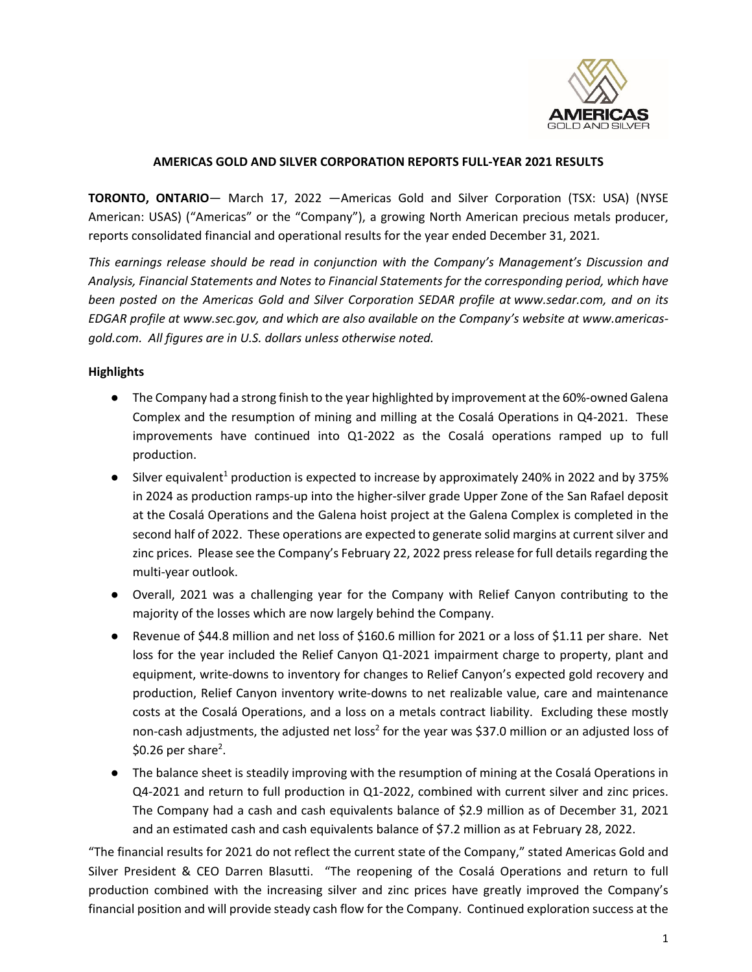

### **AMERICAS GOLD AND SILVER CORPORATION REPORTS FULL‐YEAR 2021 RESULTS**

**TORONTO, ONTARIO**— March 17, 2022 —Americas Gold and Silver Corporation (TSX: USA) (NYSE American: USAS) ("Americas" or the "Company"), a growing North American precious metals producer, reports consolidated financial and operational results for the year ended December 31, 2021*.*

*This earnings release should be read in conjunction with the Company's Management's Discussion and Analysis, Financial Statements and Notes to Financial Statements for the corresponding period, which have been posted on the Americas Gold and Silver Corporation SEDAR profile at www.sedar.com, and on its EDGAR profile at www.sec.gov, and which are also available on the Company's website at www.americas‐ gold.com. All figures are in U.S. dollars unless otherwise noted.*

### **Highlights**

- The Company had a strong finish to the year highlighted by improvement at the 60%-owned Galena Complex and the resumption of mining and milling at the Cosalá Operations in Q4‐2021. These improvements have continued into Q1‐2022 as the Cosalá operations ramped up to full production.
- Silver equivalent<sup>1</sup> production is expected to increase by approximately 240% in 2022 and by 375% in 2024 as production ramps‐up into the higher‐silver grade Upper Zone of the San Rafael deposit at the Cosalá Operations and the Galena hoist project at the Galena Complex is completed in the second half of 2022. These operations are expected to generate solid margins at current silver and zinc prices. Please see the Company's February 22, 2022 press release for full details regarding the multi‐year outlook.
- Overall, 2021 was a challenging year for the Company with Relief Canyon contributing to the majority of the losses which are now largely behind the Company.
- Revenue of \$44.8 million and net loss of \$160.6 million for 2021 or a loss of \$1.11 per share. Net loss for the year included the Relief Canyon Q1‐2021 impairment charge to property, plant and equipment, write-downs to inventory for changes to Relief Canyon's expected gold recovery and production, Relief Canyon inventory write‐downs to net realizable value, care and maintenance costs at the Cosalá Operations, and a loss on a metals contract liability. Excluding these mostly non-cash adjustments, the adjusted net loss<sup>2</sup> for the year was \$37.0 million or an adjusted loss of \$0.26 per share<sup>2</sup>.
- The balance sheet is steadily improving with the resumption of mining at the Cosalá Operations in Q4‐2021 and return to full production in Q1‐2022, combined with current silver and zinc prices. The Company had a cash and cash equivalents balance of \$2.9 million as of December 31, 2021 and an estimated cash and cash equivalents balance of \$7.2 million as at February 28, 2022.

"The financial results for 2021 do not reflect the current state of the Company," stated Americas Gold and Silver President & CEO Darren Blasutti. "The reopening of the Cosalá Operations and return to full production combined with the increasing silver and zinc prices have greatly improved the Company's financial position and will provide steady cash flow for the Company. Continued exploration success at the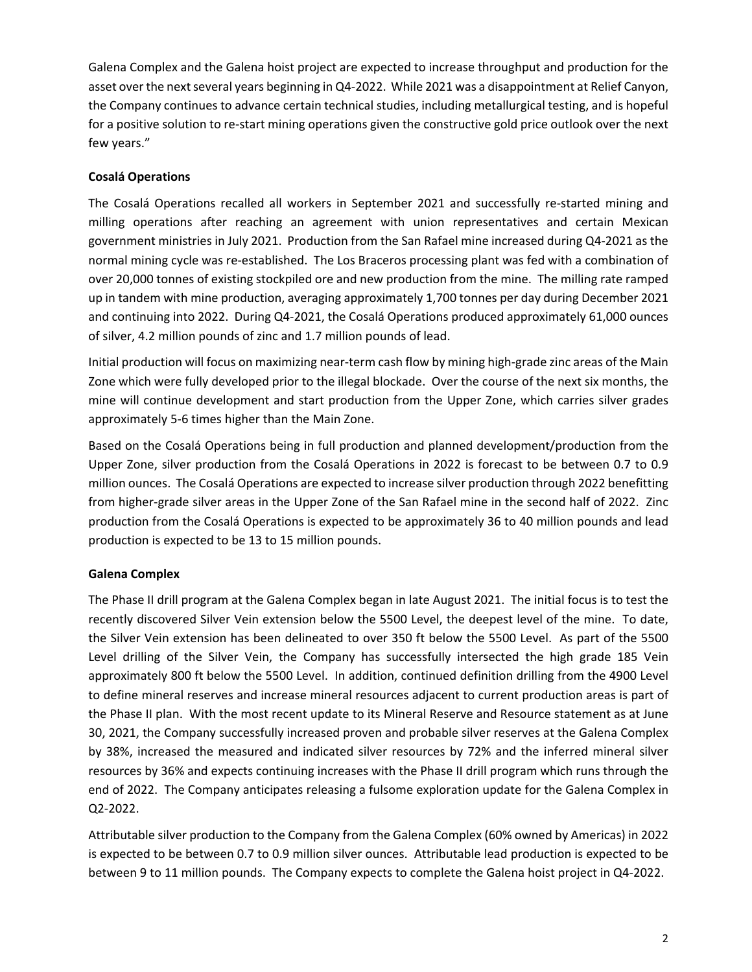Galena Complex and the Galena hoist project are expected to increase throughput and production for the asset over the next several years beginning in Q4-2022. While 2021 was a disappointment at Relief Canyon, the Company continues to advance certain technical studies, including metallurgical testing, and is hopeful for a positive solution to re-start mining operations given the constructive gold price outlook over the next few years."

# **Cosalá Operations**

The Cosalá Operations recalled all workers in September 2021 and successfully re‐started mining and milling operations after reaching an agreement with union representatives and certain Mexican government ministries in July 2021. Production from the San Rafael mine increased during Q4‐2021 as the normal mining cycle was re‐established. The Los Braceros processing plant was fed with a combination of over 20,000 tonnes of existing stockpiled ore and new production from the mine. The milling rate ramped up in tandem with mine production, averaging approximately 1,700 tonnes per day during December 2021 and continuing into 2022. During Q4‐2021, the Cosalá Operations produced approximately 61,000 ounces of silver, 4.2 million pounds of zinc and 1.7 million pounds of lead.

Initial production will focus on maximizing near‐term cash flow by mining high‐grade zinc areas of the Main Zone which were fully developed prior to the illegal blockade. Over the course of the next six months, the mine will continue development and start production from the Upper Zone, which carries silver grades approximately 5‐6 times higher than the Main Zone.

Based on the Cosalá Operations being in full production and planned development/production from the Upper Zone, silver production from the Cosalá Operations in 2022 is forecast to be between 0.7 to 0.9 million ounces. The Cosalá Operations are expected to increase silver production through 2022 benefitting from higher-grade silver areas in the Upper Zone of the San Rafael mine in the second half of 2022. Zinc production from the Cosalá Operations is expected to be approximately 36 to 40 million pounds and lead production is expected to be 13 to 15 million pounds.

# **Galena Complex**

The Phase II drill program at the Galena Complex began in late August 2021. The initial focus is to test the recently discovered Silver Vein extension below the 5500 Level, the deepest level of the mine. To date, the Silver Vein extension has been delineated to over 350 ft below the 5500 Level. As part of the 5500 Level drilling of the Silver Vein, the Company has successfully intersected the high grade 185 Vein approximately 800 ft below the 5500 Level. In addition, continued definition drilling from the 4900 Level to define mineral reserves and increase mineral resources adjacent to current production areas is part of the Phase II plan. With the most recent update to its Mineral Reserve and Resource statement as at June 30, 2021, the Company successfully increased proven and probable silver reserves at the Galena Complex by 38%, increased the measured and indicated silver resources by 72% and the inferred mineral silver resources by 36% and expects continuing increases with the Phase II drill program which runs through the end of 2022. The Company anticipates releasing a fulsome exploration update for the Galena Complex in Q2‐2022.

Attributable silver production to the Company from the Galena Complex (60% owned by Americas) in 2022 is expected to be between 0.7 to 0.9 million silver ounces. Attributable lead production is expected to be between 9 to 11 million pounds. The Company expects to complete the Galena hoist project in Q4‐2022.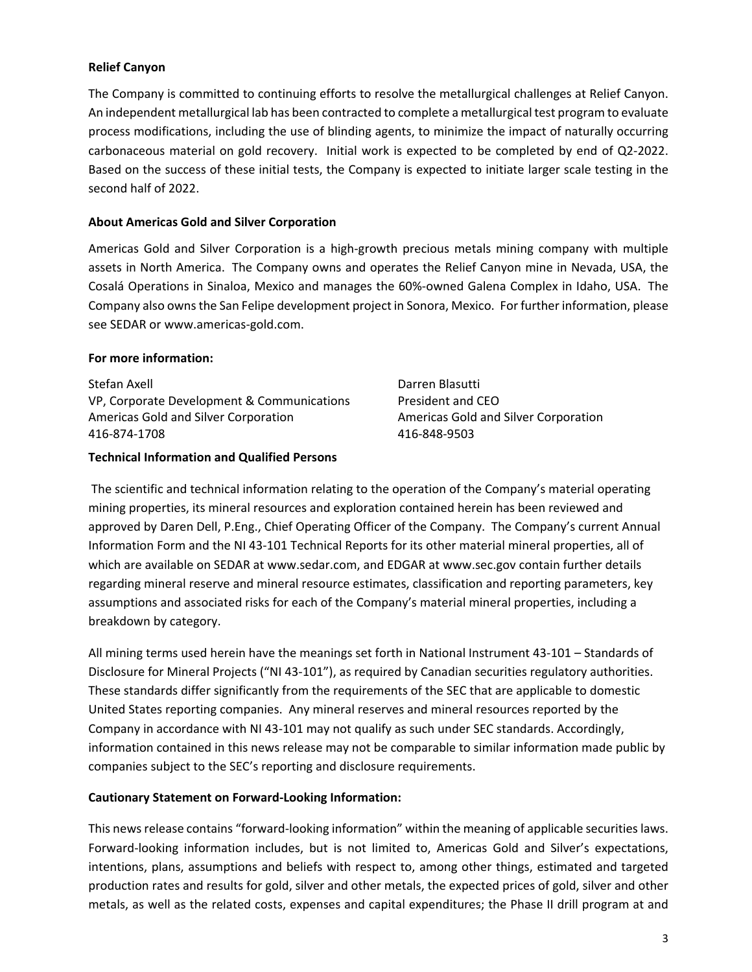#### **Relief Canyon**

The Company is committed to continuing efforts to resolve the metallurgical challenges at Relief Canyon. An independent metallurgical lab has been contracted to complete a metallurgical test program to evaluate process modifications, including the use of blinding agents, to minimize the impact of naturally occurring carbonaceous material on gold recovery. Initial work is expected to be completed by end of Q2‐2022. Based on the success of these initial tests, the Company is expected to initiate larger scale testing in the second half of 2022.

#### **About Americas Gold and Silver Corporation**

Americas Gold and Silver Corporation is a high‐growth precious metals mining company with multiple assets in North America. The Company owns and operates the Relief Canyon mine in Nevada, USA, the Cosalá Operations in Sinaloa, Mexico and manages the 60%‐owned Galena Complex in Idaho, USA. The Company also ownsthe San Felipe development project in Sonora, Mexico. For further information, please see SEDAR or www.americas‐gold.com.

#### **For more information:**

Stefan Axell **Branch and Stefan Axell Darren Blasutti** VP, Corporate Development & Communications President and CEO Americas Gold and Silver Corporation Americas Gold and Silver Corporation 416‐874‐1708 416‐848‐9503

#### **Technical Information and Qualified Persons**

The scientific and technical information relating to the operation of the Company's material operating mining properties, its mineral resources and exploration contained herein has been reviewed and approved by Daren Dell, P.Eng., Chief Operating Officer of the Company. The Company's current Annual Information Form and the NI 43‐101 Technical Reports for its other material mineral properties, all of which are available on SEDAR at www.sedar.com, and EDGAR at www.sec.gov contain further details regarding mineral reserve and mineral resource estimates, classification and reporting parameters, key assumptions and associated risks for each of the Company's material mineral properties, including a breakdown by category.

All mining terms used herein have the meanings set forth in National Instrument 43‐101 – Standards of Disclosure for Mineral Projects ("NI 43-101"), as required by Canadian securities regulatory authorities. These standards differ significantly from the requirements of the SEC that are applicable to domestic United States reporting companies. Any mineral reserves and mineral resources reported by the Company in accordance with NI 43‐101 may not qualify as such under SEC standards. Accordingly, information contained in this news release may not be comparable to similar information made public by companies subject to the SEC's reporting and disclosure requirements.

#### **Cautionary Statement on Forward‐Looking Information:**

This news release contains "forward-looking information" within the meaning of applicable securities laws. Forward‐looking information includes, but is not limited to, Americas Gold and Silver's expectations, intentions, plans, assumptions and beliefs with respect to, among other things, estimated and targeted production rates and results for gold, silver and other metals, the expected prices of gold, silver and other metals, as well as the related costs, expenses and capital expenditures; the Phase II drill program at and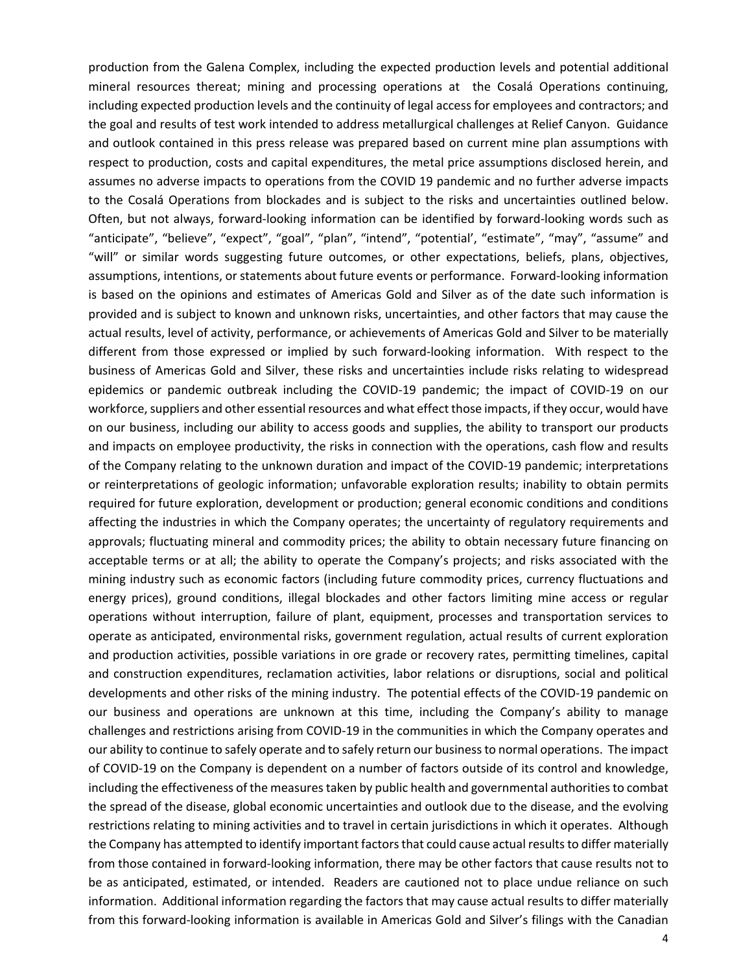production from the Galena Complex, including the expected production levels and potential additional mineral resources thereat; mining and processing operations at the Cosalá Operations continuing, including expected production levels and the continuity of legal access for employees and contractors; and the goal and results of test work intended to address metallurgical challenges at Relief Canyon. Guidance and outlook contained in this press release was prepared based on current mine plan assumptions with respect to production, costs and capital expenditures, the metal price assumptions disclosed herein, and assumes no adverse impacts to operations from the COVID 19 pandemic and no further adverse impacts to the Cosalá Operations from blockades and is subject to the risks and uncertainties outlined below. Often, but not always, forward‐looking information can be identified by forward‐looking words such as "anticipate", "believe", "expect", "goal", "plan", "intend", "potential', "estimate", "may", "assume" and "will" or similar words suggesting future outcomes, or other expectations, beliefs, plans, objectives, assumptions, intentions, or statements about future events or performance. Forward‐looking information is based on the opinions and estimates of Americas Gold and Silver as of the date such information is provided and is subject to known and unknown risks, uncertainties, and other factors that may cause the actual results, level of activity, performance, or achievements of Americas Gold and Silver to be materially different from those expressed or implied by such forward‐looking information. With respect to the business of Americas Gold and Silver, these risks and uncertainties include risks relating to widespread epidemics or pandemic outbreak including the COVID‐19 pandemic; the impact of COVID‐19 on our workforce, suppliers and other essential resources and what effect those impacts, if they occur, would have on our business, including our ability to access goods and supplies, the ability to transport our products and impacts on employee productivity, the risks in connection with the operations, cash flow and results of the Company relating to the unknown duration and impact of the COVID‐19 pandemic; interpretations or reinterpretations of geologic information; unfavorable exploration results; inability to obtain permits required for future exploration, development or production; general economic conditions and conditions affecting the industries in which the Company operates; the uncertainty of regulatory requirements and approvals; fluctuating mineral and commodity prices; the ability to obtain necessary future financing on acceptable terms or at all; the ability to operate the Company's projects; and risks associated with the mining industry such as economic factors (including future commodity prices, currency fluctuations and energy prices), ground conditions, illegal blockades and other factors limiting mine access or regular operations without interruption, failure of plant, equipment, processes and transportation services to operate as anticipated, environmental risks, government regulation, actual results of current exploration and production activities, possible variations in ore grade or recovery rates, permitting timelines, capital and construction expenditures, reclamation activities, labor relations or disruptions, social and political developments and other risks of the mining industry. The potential effects of the COVID‐19 pandemic on our business and operations are unknown at this time, including the Company's ability to manage challenges and restrictions arising from COVID‐19 in the communities in which the Company operates and our ability to continue to safely operate and to safely return our businessto normal operations. The impact of COVID‐19 on the Company is dependent on a number of factors outside of its control and knowledge, including the effectiveness of the measures taken by public health and governmental authorities to combat the spread of the disease, global economic uncertainties and outlook due to the disease, and the evolving restrictions relating to mining activities and to travel in certain jurisdictions in which it operates. Although the Company has attempted to identify important factors that could cause actual results to differ materially from those contained in forward-looking information, there may be other factors that cause results not to be as anticipated, estimated, or intended. Readers are cautioned not to place undue reliance on such information. Additional information regarding the factors that may cause actual results to differ materially from this forward‐looking information is available in Americas Gold and Silver's filings with the Canadian

4